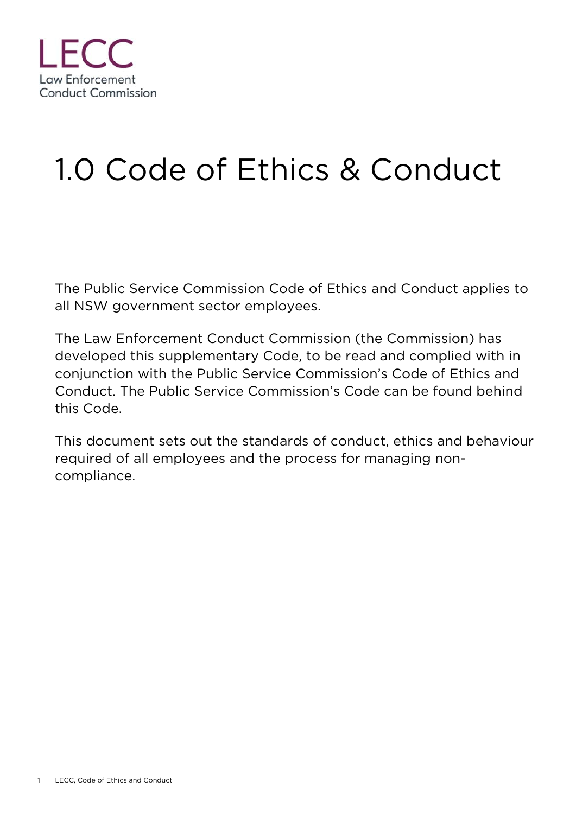

# 1.0 Code of Ethics & Conduct

The Public Service Commission Code of Ethics and Conduct applies to all NSW government sector employees.

The Law Enforcement Conduct Commission (the Commission) has developed this supplementary Code, to be read and complied with in conjunction with the Public Service Commission's Code of Ethics and Conduct. The Public Service Commission's Code can be found behind this Code.

This document sets out the standards of conduct, ethics and behaviour required of all employees and the process for managing noncompliance.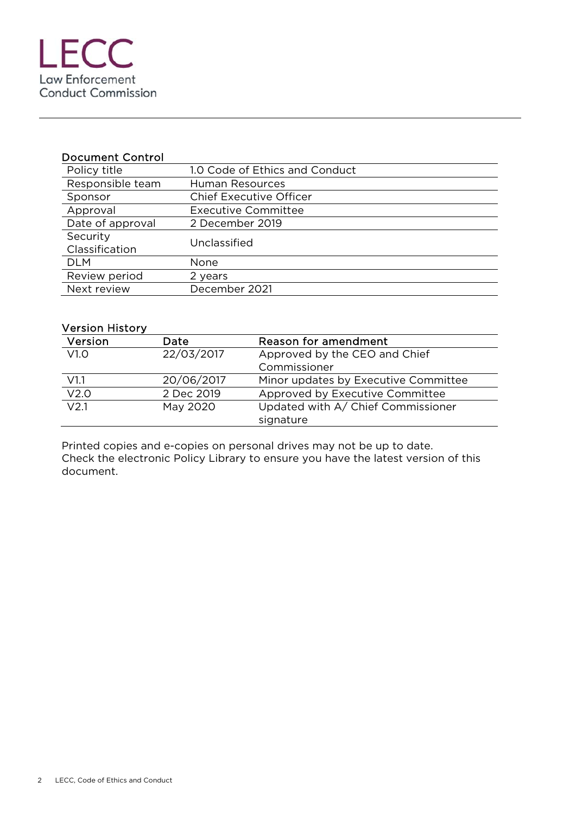| <b>Document Control</b>    |                                |
|----------------------------|--------------------------------|
| Policy title               | 1.0 Code of Ethics and Conduct |
| Responsible team           | Human Resources                |
| Sponsor                    | <b>Chief Executive Officer</b> |
| Approval                   | <b>Executive Committee</b>     |
| Date of approval           | 2 December 2019                |
| Security<br>Classification | Unclassified                   |
| <b>DLM</b>                 | None                           |
| Review period              | 2 years                        |
| Next review                | December 2021                  |

#### Version History

| Version          | Date       | Reason for amendment                 |
|------------------|------------|--------------------------------------|
| V1.0             | 22/03/2017 | Approved by the CEO and Chief        |
|                  |            | Commissioner                         |
| V1.1             | 20/06/2017 | Minor updates by Executive Committee |
| V2.0             | 2 Dec 2019 | Approved by Executive Committee      |
| V <sub>2.1</sub> | May 2020   | Updated with A/ Chief Commissioner   |
|                  |            | signature                            |

Printed copies and e-copies on personal drives may not be up to date. Check the electronic Policy Library to ensure you have the latest version of this document.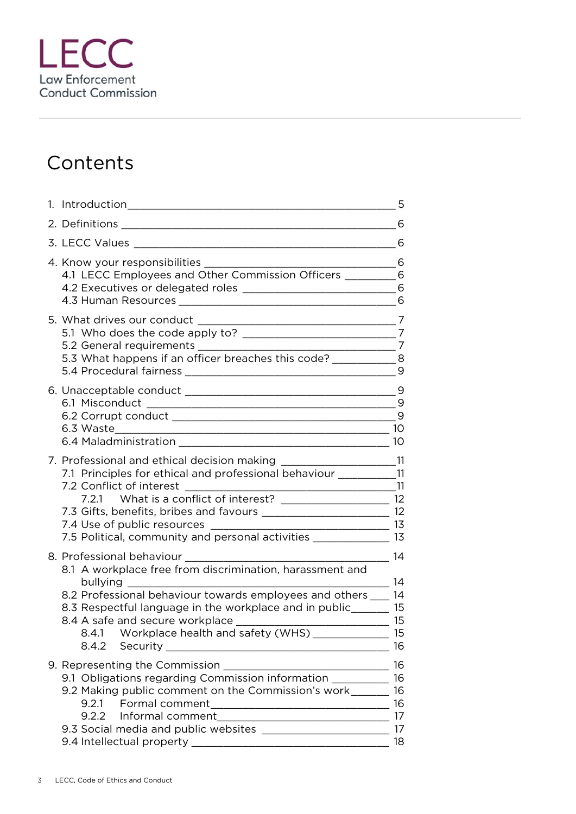

# **Contents**

|                                                                                                                                                                                                                                                                                                                                                                                                       | 5                             |
|-------------------------------------------------------------------------------------------------------------------------------------------------------------------------------------------------------------------------------------------------------------------------------------------------------------------------------------------------------------------------------------------------------|-------------------------------|
|                                                                                                                                                                                                                                                                                                                                                                                                       |                               |
|                                                                                                                                                                                                                                                                                                                                                                                                       | 6                             |
| 4.1 LECC Employees and Other Commission Officers _________6                                                                                                                                                                                                                                                                                                                                           |                               |
| 5.3 What happens if an officer breaches this code? ______________ 8                                                                                                                                                                                                                                                                                                                                   | 9                             |
|                                                                                                                                                                                                                                                                                                                                                                                                       |                               |
| 7. Professional and ethical decision making ______________________11<br>7.1 Principles for ethical and professional behaviour __________11<br>7.2 Conflict of interest<br>7.2.1 What is a conflict of interest? ___________________________ 12<br>7.3 Gifts, benefits, bribes and favours _________________________________ 12<br>7.5 Political, community and personal activities _______________ 13 |                               |
| 8. Professional behaviour<br>8.1 A workplace free from discrimination, harassment and<br>8.2 Professional behaviour towards employees and others ___ 14<br>8.3 Respectful language in the workplace and in public_______ 15<br>8.4.1 Workplace health and safety (WHS) ______________<br>8.4.2                                                                                                        | 14<br>$-14$<br>15<br>15<br>16 |
| 9.1 Obligations regarding Commission information __________ 16<br>9.2 Making public comment on the Commission's work<br>9.2.1<br>9.2.2                                                                                                                                                                                                                                                                | 16<br>16<br>16<br>17<br>18    |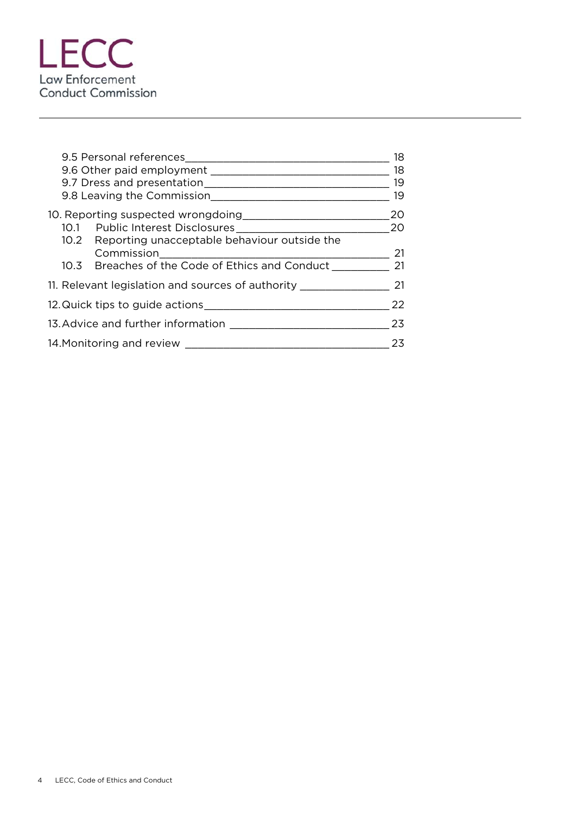

|                                                   |  | 18 |
|---------------------------------------------------|--|----|
|                                                   |  | 18 |
|                                                   |  | 19 |
| 9.8 Leaving the Commission                        |  | 19 |
| 10. Reporting suspected wrongdoing                |  | 20 |
| 10.1 Public Interest Disclosures                  |  | 20 |
| 10.2 Reporting unacceptable behaviour outside the |  |    |
| Commission                                        |  | 21 |
| 10.3 Breaches of the Code of Ethics and Conduct   |  | 21 |
| 11. Relevant legislation and sources of authority |  | 21 |
| 12. Quick tips to guide actions                   |  | 22 |
|                                                   |  | 23 |
| 14. Monitoring and review                         |  | 23 |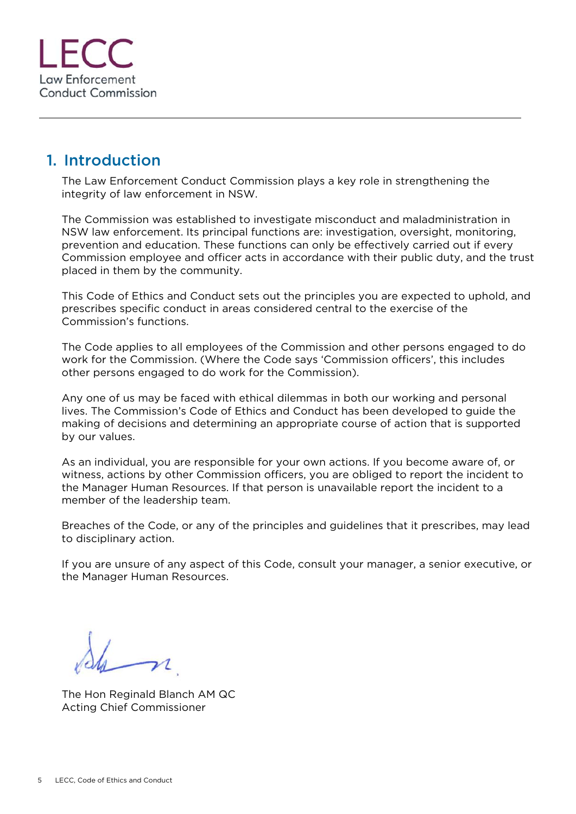

#### 1. Introduction

The Law Enforcement Conduct Commission plays a key role in strengthening the integrity of law enforcement in NSW.

The Commission was established to investigate misconduct and maladministration in NSW law enforcement. Its principal functions are: investigation, oversight, monitoring, prevention and education. These functions can only be effectively carried out if every Commission employee and officer acts in accordance with their public duty, and the trust placed in them by the community.

This Code of Ethics and Conduct sets out the principles you are expected to uphold, and prescribes specific conduct in areas considered central to the exercise of the Commission's functions.

The Code applies to all employees of the Commission and other persons engaged to do work for the Commission. (Where the Code says 'Commission officers', this includes other persons engaged to do work for the Commission).

Any one of us may be faced with ethical dilemmas in both our working and personal lives. The Commission's Code of Ethics and Conduct has been developed to guide the making of decisions and determining an appropriate course of action that is supported by our values.

As an individual, you are responsible for your own actions. If you become aware of, or witness, actions by other Commission officers, you are obliged to report the incident to the Manager Human Resources. If that person is unavailable report the incident to a member of the leadership team.

Breaches of the Code, or any of the principles and guidelines that it prescribes, may lead to disciplinary action.

If you are unsure of any aspect of this Code, consult your manager, a senior executive, or the Manager Human Resources.

The Hon Reginald Blanch AM QC Acting Chief Commissioner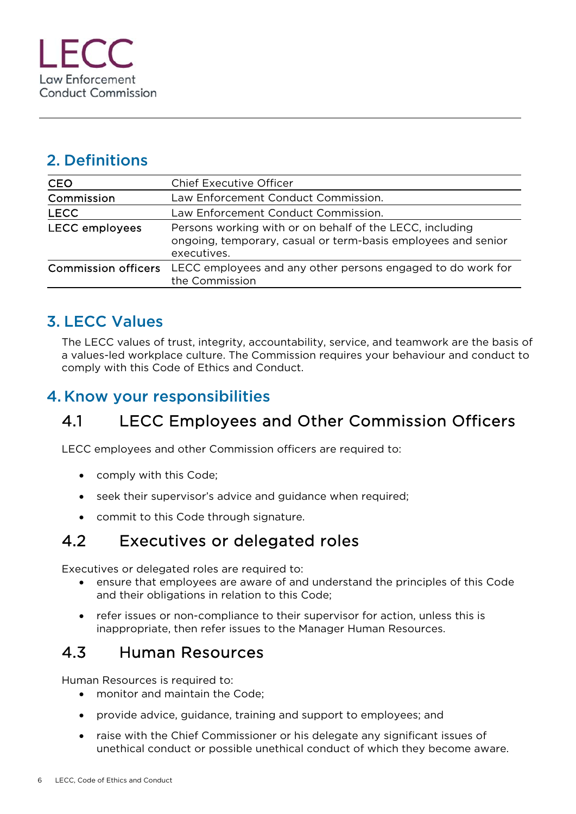#### 2. Definitions

| <b>CEO</b>                 | <b>Chief Executive Officer</b>                                                                                                           |  |
|----------------------------|------------------------------------------------------------------------------------------------------------------------------------------|--|
| Commission                 | Law Enforcement Conduct Commission.                                                                                                      |  |
| <b>LECC</b>                | Law Enforcement Conduct Commission.                                                                                                      |  |
| <b>LECC</b> employees      | Persons working with or on behalf of the LECC, including<br>ongoing, temporary, casual or term-basis employees and senior<br>executives. |  |
| <b>Commission officers</b> | LECC employees and any other persons engaged to do work for<br>the Commission                                                            |  |
|                            |                                                                                                                                          |  |

# 3. LECC Values

The LECC values of trust, integrity, accountability, service, and teamwork are the basis of a values-led workplace culture. The Commission requires your behaviour and conduct to comply with this Code of Ethics and Conduct.

#### 4. Know your responsibilities

# 4.1 LECC Employees and Other Commission Officers

LECC employees and other Commission officers are required to:

- comply with this Code;
- seek their supervisor's advice and guidance when required;
- commit to this Code through signature.

# 4.2 Executives or delegated roles

Executives or delegated roles are required to:

- ensure that employees are aware of and understand the principles of this Code and their obligations in relation to this Code;
- refer issues or non-compliance to their supervisor for action, unless this is inappropriate, then refer issues to the Manager Human Resources.

# 4.3 Human Resources

Human Resources is required to:

- monitor and maintain the Code:
- provide advice, guidance, training and support to employees; and
- raise with the Chief Commissioner or his delegate any significant issues of unethical conduct or possible unethical conduct of which they become aware.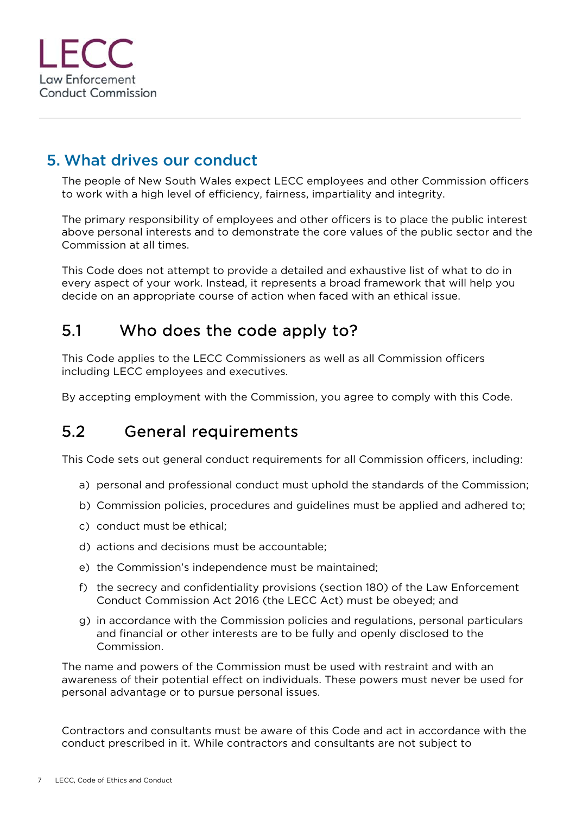#### 5. What drives our conduct

The people of New South Wales expect LECC employees and other Commission officers to work with a high level of efficiency, fairness, impartiality and integrity.

The primary responsibility of employees and other officers is to place the public interest above personal interests and to demonstrate the core values of the public sector and the Commission at all times.

This Code does not attempt to provide a detailed and exhaustive list of what to do in every aspect of your work. Instead, it represents a broad framework that will help you decide on an appropriate course of action when faced with an ethical issue.

#### 5.1 Who does the code apply to?

This Code applies to the LECC Commissioners as well as all Commission officers including LECC employees and executives.

By accepting employment with the Commission, you agree to comply with this Code.

# 5.2 General requirements

This Code sets out general conduct requirements for all Commission officers, including:

- a) personal and professional conduct must uphold the standards of the Commission;
- b) Commission policies, procedures and guidelines must be applied and adhered to;
- c) conduct must be ethical;
- d) actions and decisions must be accountable;
- e) the Commission's independence must be maintained;
- f) the secrecy and confidentiality provisions (section 180) of the Law Enforcement Conduct Commission Act 2016 (the LECC Act) must be obeyed; and
- g) in accordance with the Commission policies and regulations, personal particulars and financial or other interests are to be fully and openly disclosed to the Commission.

The name and powers of the Commission must be used with restraint and with an awareness of their potential effect on individuals. These powers must never be used for personal advantage or to pursue personal issues.

Contractors and consultants must be aware of this Code and act in accordance with the conduct prescribed in it. While contractors and consultants are not subject to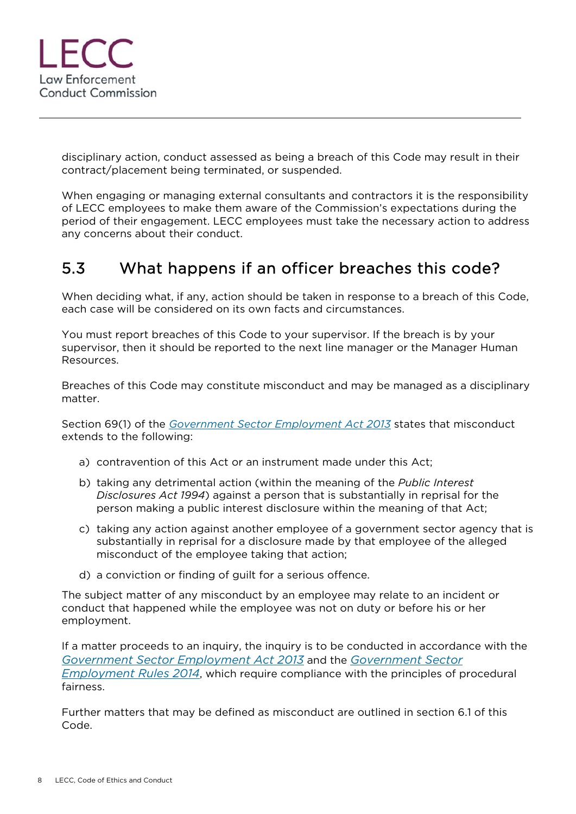

disciplinary action, conduct assessed as being a breach of this Code may result in their contract/placement being terminated, or suspended.

When engaging or managing external consultants and contractors it is the responsibility of LECC employees to make them aware of the Commission's expectations during the period of their engagement. LECC employees must take the necessary action to address any concerns about their conduct.

# 5.3 What happens if an officer breaches this code?

When deciding what, if any, action should be taken in response to a breach of this Code, each case will be considered on its own facts and circumstances.

You must report breaches of this Code to your supervisor. If the breach is by your supervisor, then it should be reported to the next line manager or the Manager Human Resources.

Breaches of this Code may constitute misconduct and may be managed as a disciplinary matter.

Section 69(1) of the *Government Sector Employment Act 2013* states that misconduct extends to the following:

- a) contravention of this Act or an instrument made under this Act;
- b) taking any detrimental action (within the meaning of the *Public Interest Disclosures Act 1994*) against a person that is substantially in reprisal for the person making a public interest disclosure within the meaning of that Act;
- c) taking any action against another employee of a government sector agency that is substantially in reprisal for a disclosure made by that employee of the alleged misconduct of the employee taking that action;
- d) a conviction or finding of guilt for a serious offence.

The subject matter of any misconduct by an employee may relate to an incident or conduct that happened while the employee was not on duty or before his or her employment.

If a matter proceeds to an inquiry, the inquiry is to be conducted in accordance with the *Government Sector Employment Act 2013* and the *Government Sector Employment Rules 2014*, which require compliance with the principles of procedural fairness.

Further matters that may be defined as misconduct are outlined in section 6.1 of this Code.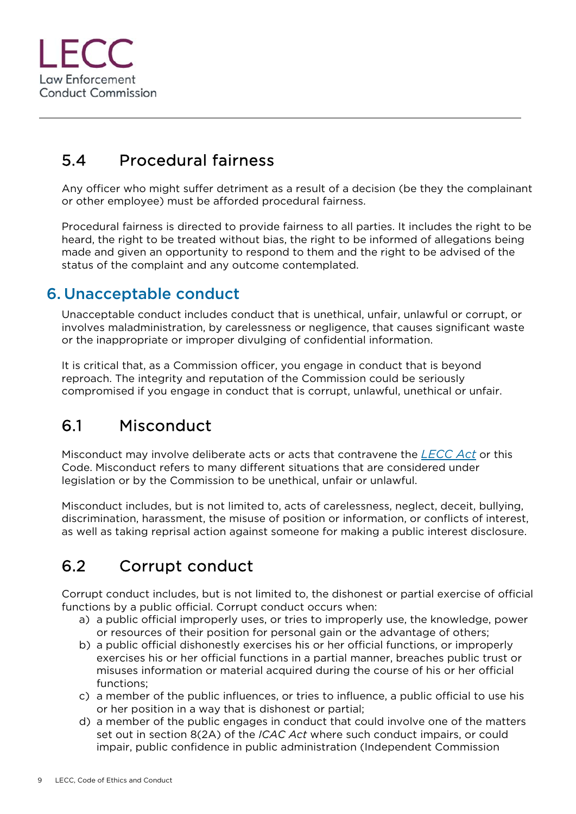

# 5.4 Procedural fairness

Any officer who might suffer detriment as a result of a decision (be they the complainant or other employee) must be afforded procedural fairness.

Procedural fairness is directed to provide fairness to all parties. It includes the right to be heard, the right to be treated without bias, the right to be informed of allegations being made and given an opportunity to respond to them and the right to be advised of the status of the complaint and any outcome contemplated.

#### 6. Unacceptable conduct

Unacceptable conduct includes conduct that is unethical, unfair, unlawful or corrupt, or involves maladministration, by carelessness or negligence, that causes significant waste or the inappropriate or improper divulging of confidential information.

It is critical that, as a Commission officer, you engage in conduct that is beyond reproach. The integrity and reputation of the Commission could be seriously compromised if you engage in conduct that is corrupt, unlawful, unethical or unfair.

# 6.1 Misconduct

Misconduct may involve deliberate acts or acts that contravene the *LECC Act* or this Code. Misconduct refers to many different situations that are considered under legislation or by the Commission to be unethical, unfair or unlawful.

Misconduct includes, but is not limited to, acts of carelessness, neglect, deceit, bullying, discrimination, harassment, the misuse of position or information, or conflicts of interest, as well as taking reprisal action against someone for making a public interest disclosure.

# 6.2 Corrupt conduct

Corrupt conduct includes, but is not limited to, the dishonest or partial exercise of official functions by a public official. Corrupt conduct occurs when:

- a) a public official improperly uses, or tries to improperly use, the knowledge, power or resources of their position for personal gain or the advantage of others;
- b) a public official dishonestly exercises his or her official functions, or improperly exercises his or her official functions in a partial manner, breaches public trust or misuses information or material acquired during the course of his or her official functions;
- c) a member of the public influences, or tries to influence, a public official to use his or her position in a way that is dishonest or partial;
- d) a member of the public engages in conduct that could involve one of the matters set out in section 8(2A) of the *ICAC Act* where such conduct impairs, or could impair, public confidence in public administration (Independent Commission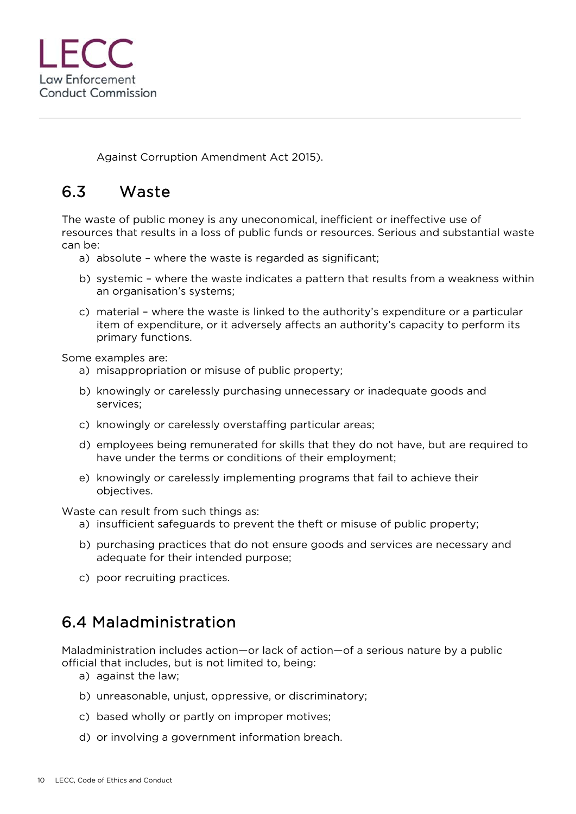

Against Corruption Amendment Act 2015).

# 6.3 Waste

The waste of public money is any uneconomical, inefficient or ineffective use of resources that results in a loss of public funds or resources. Serious and substantial waste can be:

- a) absolute where the waste is regarded as significant;
- b) systemic where the waste indicates a pattern that results from a weakness within an organisation's systems;
- c) material where the waste is linked to the authority's expenditure or a particular item of expenditure, or it adversely affects an authority's capacity to perform its primary functions.

Some examples are:

- a) misappropriation or misuse of public property;
- b) knowingly or carelessly purchasing unnecessary or inadequate goods and services;
- c) knowingly or carelessly overstaffing particular areas;
- d) employees being remunerated for skills that they do not have, but are required to have under the terms or conditions of their employment;
- e) knowingly or carelessly implementing programs that fail to achieve their objectives.

Waste can result from such things as:

- a) insufficient safeguards to prevent the theft or misuse of public property;
- b) purchasing practices that do not ensure goods and services are necessary and adequate for their intended purpose;
- c) poor recruiting practices.

# 6.4 Maladministration

Maladministration includes action—or lack of action—of a serious nature by a public official that includes, but is not limited to, being:

- a) against the law;
- b) unreasonable, unjust, oppressive, or discriminatory;
- c) based wholly or partly on improper motives;
- d) or involving a government information breach.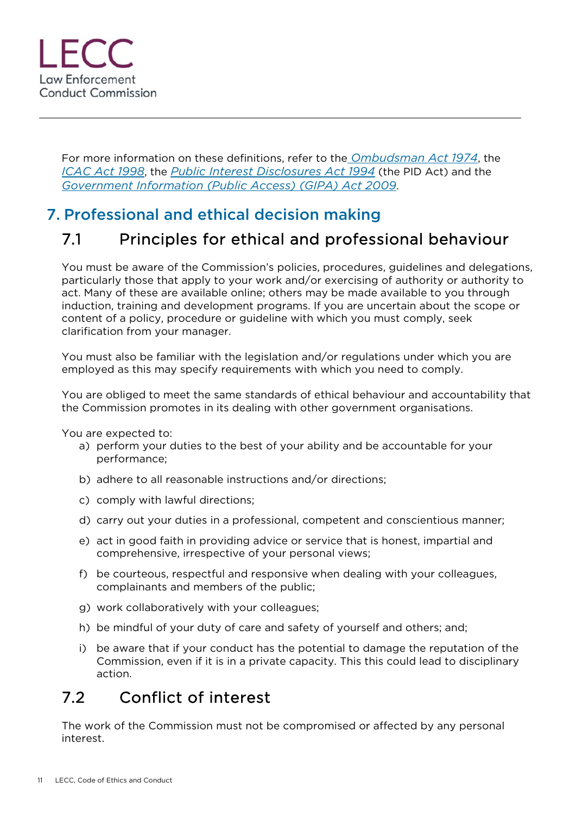For more information on these definitions, refer to the *Ombudsman Act 1974*, the *ICAC Act 1998*, the *Public Interest Disclosures Act 1994* (the PID Act) and the *Government Information (Public Access) (GIPA) Act 2009*.

# 7. Professional and ethical decision making

# 7.1 Principles for ethical and professional behaviour

You must be aware of the Commission's policies, procedures, guidelines and delegations, particularly those that apply to your work and/or exercising of authority or authority to act. Many of these are available online; others may be made available to you through induction, training and development programs. If you are uncertain about the scope or content of a policy, procedure or guideline with which you must comply, seek clarification from your manager.

You must also be familiar with the legislation and/or regulations under which you are employed as this may specify requirements with which you need to comply.

You are obliged to meet the same standards of ethical behaviour and accountability that the Commission promotes in its dealing with other government organisations.

You are expected to:

- a) perform your duties to the best of your ability and be accountable for your performance;
- b) adhere to all reasonable instructions and/or directions;
- c) comply with lawful directions;
- d) carry out your duties in a professional, competent and conscientious manner;
- e) act in good faith in providing advice or service that is honest, impartial and comprehensive, irrespective of your personal views;
- f) be courteous, respectful and responsive when dealing with your colleagues, complainants and members of the public;
- g) work collaboratively with your colleagues;
- h) be mindful of your duty of care and safety of yourself and others; and;
- i) be aware that if your conduct has the potential to damage the reputation of the Commission, even if it is in a private capacity. This this could lead to disciplinary action.

# 7.2 Conflict of interest

The work of the Commission must not be compromised or affected by any personal interest.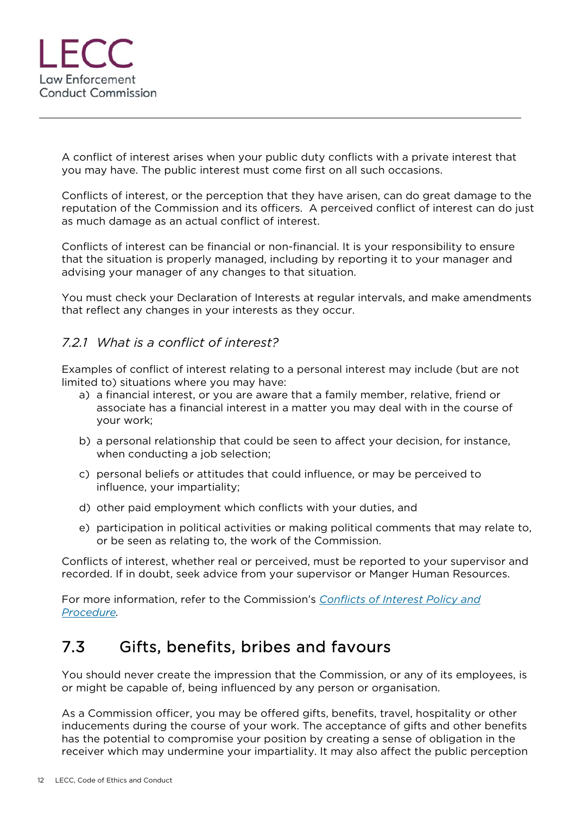

A conflict of interest arises when your public duty conflicts with a private interest that you may have. The public interest must come first on all such occasions.

Conflicts of interest, or the perception that they have arisen, can do great damage to the reputation of the Commission and its officers. A perceived conflict of interest can do just as much damage as an actual conflict of interest.

Conflicts of interest can be financial or non-financial. It is your responsibility to ensure that the situation is properly managed, including by reporting it to your manager and advising your manager of any changes to that situation.

You must check your Declaration of Interests at regular intervals, and make amendments that reflect any changes in your interests as they occur.

#### *7.2.1 What is a conflict of interest?*

Examples of conflict of interest relating to a personal interest may include (but are not limited to) situations where you may have:

- a) a financial interest, or you are aware that a family member, relative, friend or associate has a financial interest in a matter you may deal with in the course of your work;
- b) a personal relationship that could be seen to affect your decision, for instance, when conducting a job selection;
- c) personal beliefs or attitudes that could influence, or may be perceived to influence, your impartiality;
- d) other paid employment which conflicts with your duties, and
- e) participation in political activities or making political comments that may relate to, or be seen as relating to, the work of the Commission.

Conflicts of interest, whether real or perceived, must be reported to your supervisor and recorded. If in doubt, seek advice from your supervisor or Manger Human Resources.

For more information, refer to the Commission's *Conflicts of Interest Policy and Procedure.* 

#### 7.3 Gifts, benefits, bribes and favours

You should never create the impression that the Commission, or any of its employees, is or might be capable of, being influenced by any person or organisation.

As a Commission officer, you may be offered gifts, benefits, travel, hospitality or other inducements during the course of your work. The acceptance of gifts and other benefits has the potential to compromise your position by creating a sense of obligation in the receiver which may undermine your impartiality. It may also affect the public perception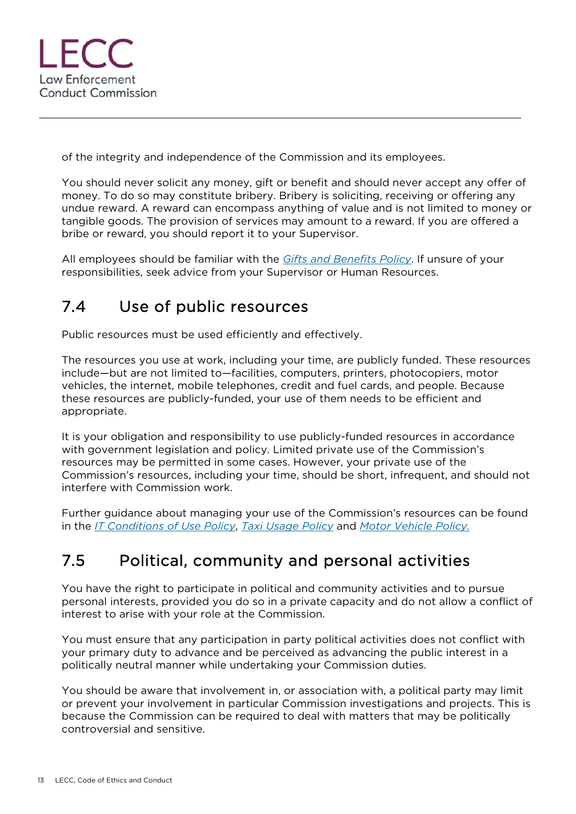

of the integrity and independence of the Commission and its employees.

You should never solicit any money, gift or benefit and should never accept any offer of money. To do so may constitute bribery. Bribery is soliciting, receiving or offering any undue reward. A reward can encompass anything of value and is not limited to money or tangible goods. The provision of services may amount to a reward. If you are offered a bribe or reward, you should report it to your Supervisor.

All employees should be familiar with the *Gifts and Benefits Policy*. If unsure of your responsibilities, seek advice from your Supervisor or Human Resources.

# 7.4 Use of public resources

Public resources must be used efficiently and effectively.

The resources you use at work, including your time, are publicly funded. These resources include—but are not limited to—facilities, computers, printers, photocopiers, motor vehicles, the internet, mobile telephones, credit and fuel cards, and people. Because these resources are publicly-funded, your use of them needs to be efficient and appropriate.

It is your obligation and responsibility to use publicly-funded resources in accordance with government legislation and policy. Limited private use of the Commission's resources may be permitted in some cases. However, your private use of the Commission's resources, including your time, should be short, infrequent, and should not interfere with Commission work.

Further guidance about managing your use of the Commission's resources can be found in the *IT Conditions of Use Policy*, *Taxi Usage Policy* and *Motor Vehicle Policy.*

# 7.5 Political, community and personal activities

You have the right to participate in political and community activities and to pursue personal interests, provided you do so in a private capacity and do not allow a conflict of interest to arise with your role at the Commission.

You must ensure that any participation in party political activities does not conflict with your primary duty to advance and be perceived as advancing the public interest in a politically neutral manner while undertaking your Commission duties.

You should be aware that involvement in, or association with, a political party may limit or prevent your involvement in particular Commission investigations and projects. This is because the Commission can be required to deal with matters that may be politically controversial and sensitive.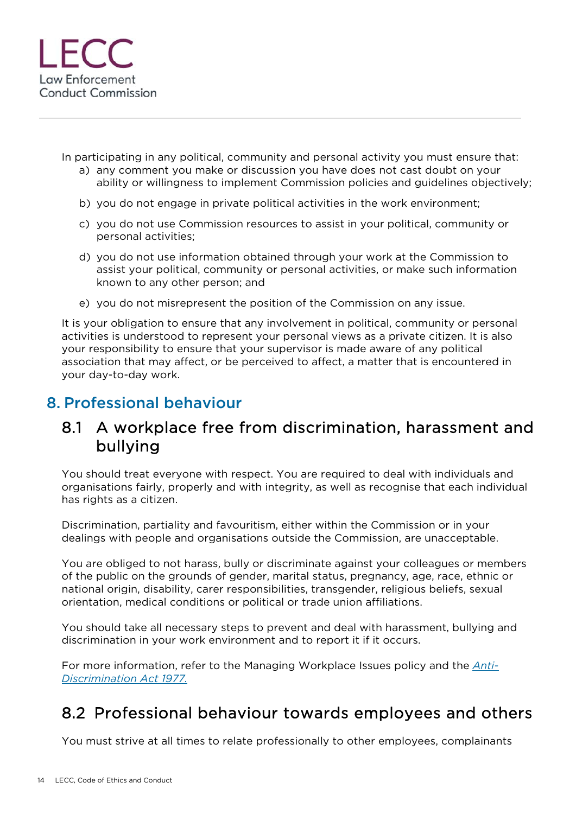

In participating in any political, community and personal activity you must ensure that:

- a) any comment you make or discussion you have does not cast doubt on your ability or willingness to implement Commission policies and guidelines objectively;
- b) you do not engage in private political activities in the work environment;
- c) you do not use Commission resources to assist in your political, community or personal activities;
- d) you do not use information obtained through your work at the Commission to assist your political, community or personal activities, or make such information known to any other person; and
- e) you do not misrepresent the position of the Commission on any issue.

It is your obligation to ensure that any involvement in political, community or personal activities is understood to represent your personal views as a private citizen. It is also your responsibility to ensure that your supervisor is made aware of any political association that may affect, or be perceived to affect, a matter that is encountered in your day-to-day work.

#### 8. Professional behaviour

#### 8.1 A workplace free from discrimination, harassment and bullying

You should treat everyone with respect. You are required to deal with individuals and organisations fairly, properly and with integrity, as well as recognise that each individual has rights as a citizen.

Discrimination, partiality and favouritism, either within the Commission or in your dealings with people and organisations outside the Commission, are unacceptable.

You are obliged to not harass, bully or discriminate against your colleagues or members of the public on the grounds of gender, marital status, pregnancy, age, race, ethnic or national origin, disability, carer responsibilities, transgender, religious beliefs, sexual orientation, medical conditions or political or trade union affiliations.

You should take all necessary steps to prevent and deal with harassment, bullying and discrimination in your work environment and to report it if it occurs.

For more information, refer to the Managing Workplace Issues policy and the *Anti-Discrimination Act 1977.*

# 8.2 Professional behaviour towards employees and others

You must strive at all times to relate professionally to other employees, complainants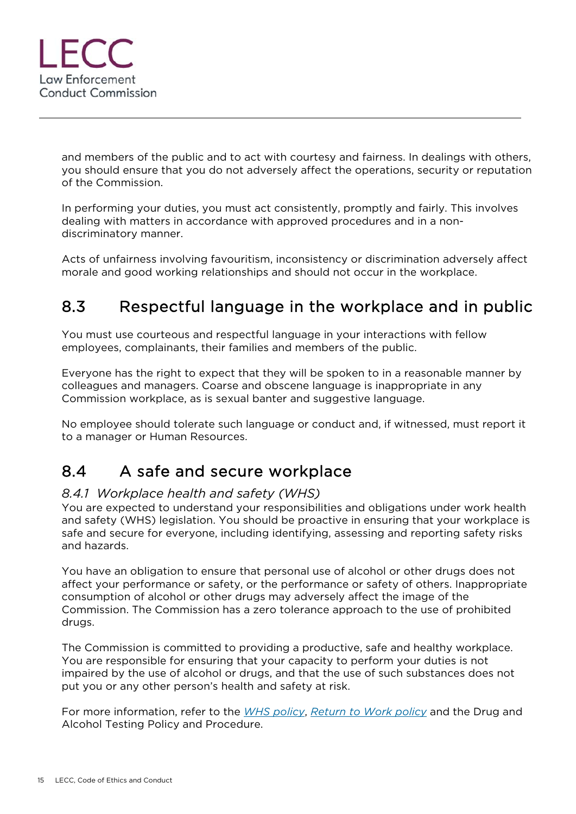

and members of the public and to act with courtesy and fairness. In dealings with others, you should ensure that you do not adversely affect the operations, security or reputation of the Commission.

In performing your duties, you must act consistently, promptly and fairly. This involves dealing with matters in accordance with approved procedures and in a nondiscriminatory manner.

Acts of unfairness involving favouritism, inconsistency or discrimination adversely affect morale and good working relationships and should not occur in the workplace.

# 8.3 Respectful language in the workplace and in public

You must use courteous and respectful language in your interactions with fellow employees, complainants, their families and members of the public.

Everyone has the right to expect that they will be spoken to in a reasonable manner by colleagues and managers. Coarse and obscene language is inappropriate in any Commission workplace, as is sexual banter and suggestive language.

No employee should tolerate such language or conduct and, if witnessed, must report it to a manager or Human Resources.

# 8.4 A safe and secure workplace

#### *8.4.1 Workplace health and safety (WHS)*

You are expected to understand your responsibilities and obligations under work health and safety (WHS) legislation. You should be proactive in ensuring that your workplace is safe and secure for everyone, including identifying, assessing and reporting safety risks and hazards.

You have an obligation to ensure that personal use of alcohol or other drugs does not affect your performance or safety, or the performance or safety of others. Inappropriate consumption of alcohol or other drugs may adversely affect the image of the Commission. The Commission has a zero tolerance approach to the use of prohibited drugs.

The Commission is committed to providing a productive, safe and healthy workplace. You are responsible for ensuring that your capacity to perform your duties is not impaired by the use of alcohol or drugs, and that the use of such substances does not put you or any other person's health and safety at risk.

For more information, refer to the *WHS policy*, *Return to Work policy* and the Drug and Alcohol Testing Policy and Procedure.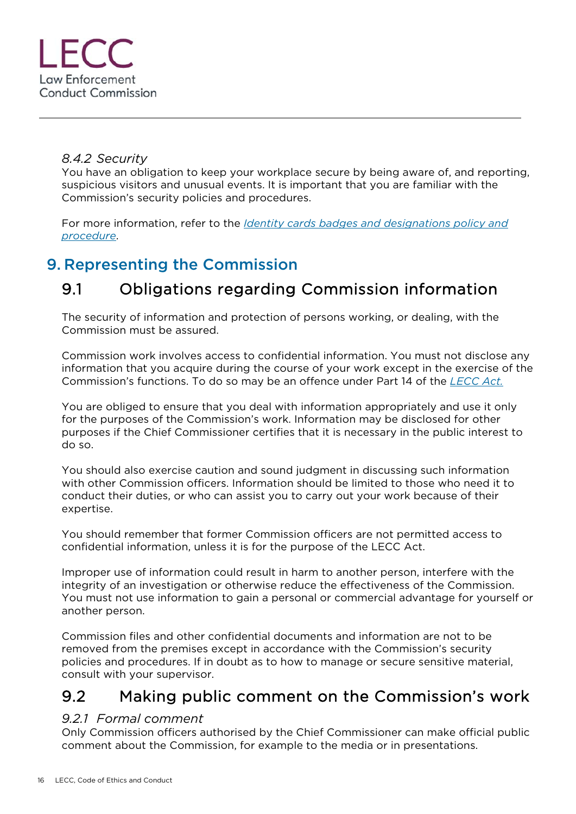

#### *8.4.2 Security*

You have an obligation to keep your workplace secure by being aware of, and reporting, suspicious visitors and unusual events. It is important that you are familiar with the Commission's security policies and procedures.

For more information, refer to the *Identity cards badges and designations policy and procedure*.

#### 9. Representing the Commission

# 9.1 Obligations regarding Commission information

The security of information and protection of persons working, or dealing, with the Commission must be assured.

Commission work involves access to confidential information. You must not disclose any information that you acquire during the course of your work except in the exercise of the Commission's functions. To do so may be an offence under Part 14 of the *LECC Act.*

You are obliged to ensure that you deal with information appropriately and use it only for the purposes of the Commission's work. Information may be disclosed for other purposes if the Chief Commissioner certifies that it is necessary in the public interest to do so.

You should also exercise caution and sound judgment in discussing such information with other Commission officers. Information should be limited to those who need it to conduct their duties, or who can assist you to carry out your work because of their expertise.

You should remember that former Commission officers are not permitted access to confidential information, unless it is for the purpose of the LECC Act.

Improper use of information could result in harm to another person, interfere with the integrity of an investigation or otherwise reduce the effectiveness of the Commission. You must not use information to gain a personal or commercial advantage for yourself or another person.

Commission files and other confidential documents and information are not to be removed from the premises except in accordance with the Commission's security policies and procedures. If in doubt as to how to manage or secure sensitive material, consult with your supervisor.

#### 9.2 Making public comment on the Commission's work

#### *9.2.1 Formal comment*

Only Commission officers authorised by the Chief Commissioner can make official public comment about the Commission, for example to the media or in presentations.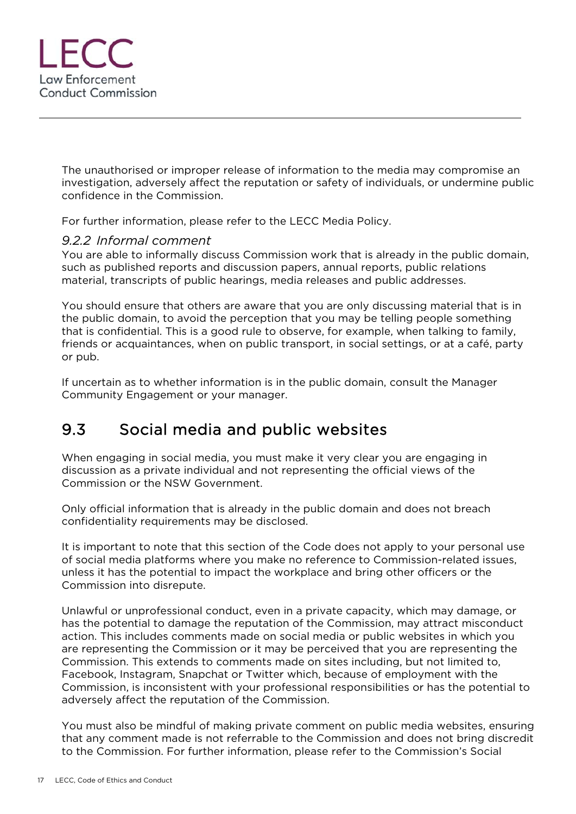

The unauthorised or improper release of information to the media may compromise an investigation, adversely affect the reputation or safety of individuals, or undermine public confidence in the Commission.

For further information, please refer to the LECC Media Policy.

#### *9.2.2 Informal comment*

You are able to informally discuss Commission work that is already in the public domain, such as published reports and discussion papers, annual reports, public relations material, transcripts of public hearings, media releases and public addresses.

You should ensure that others are aware that you are only discussing material that is in the public domain, to avoid the perception that you may be telling people something that is confidential. This is a good rule to observe, for example, when talking to family, friends or acquaintances, when on public transport, in social settings, or at a café, party or pub.

If uncertain as to whether information is in the public domain, consult the Manager Community Engagement or your manager.

# 9.3 Social media and public websites

When engaging in social media, you must make it very clear you are engaging in discussion as a private individual and not representing the official views of the Commission or the NSW Government.

Only official information that is already in the public domain and does not breach confidentiality requirements may be disclosed.

It is important to note that this section of the Code does not apply to your personal use of social media platforms where you make no reference to Commission-related issues, unless it has the potential to impact the workplace and bring other officers or the Commission into disrepute.

Unlawful or unprofessional conduct, even in a private capacity, which may damage, or has the potential to damage the reputation of the Commission, may attract misconduct action. This includes comments made on social media or public websites in which you are representing the Commission or it may be perceived that you are representing the Commission. This extends to comments made on sites including, but not limited to, Facebook, Instagram, Snapchat or Twitter which, because of employment with the Commission, is inconsistent with your professional responsibilities or has the potential to adversely affect the reputation of the Commission.

You must also be mindful of making private comment on public media websites, ensuring that any comment made is not referrable to the Commission and does not bring discredit to the Commission. For further information, please refer to the Commission's Social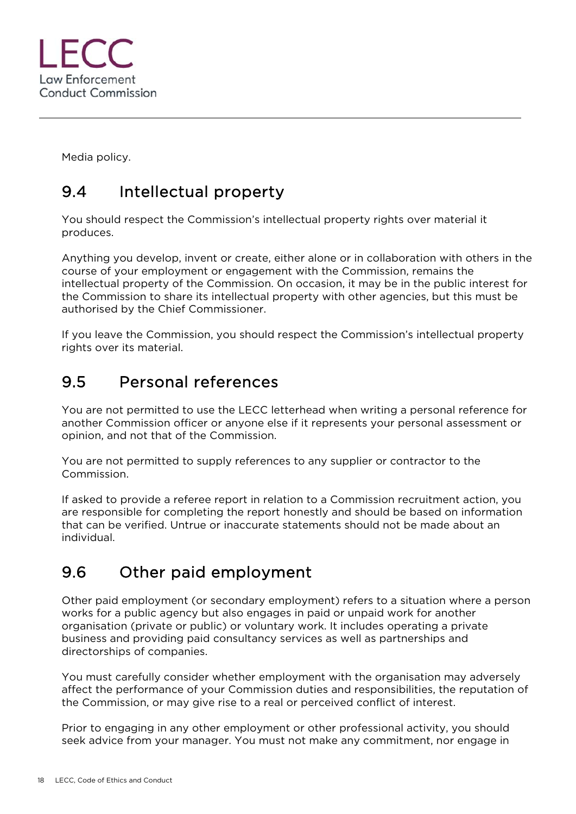

Media policy.

# 9.4 Intellectual property

You should respect the Commission's intellectual property rights over material it produces.

Anything you develop, invent or create, either alone or in collaboration with others in the course of your employment or engagement with the Commission, remains the intellectual property of the Commission. On occasion, it may be in the public interest for the Commission to share its intellectual property with other agencies, but this must be authorised by the Chief Commissioner.

If you leave the Commission, you should respect the Commission's intellectual property rights over its material.

#### 9.5 Personal references

You are not permitted to use the LECC letterhead when writing a personal reference for another Commission officer or anyone else if it represents your personal assessment or opinion, and not that of the Commission.

You are not permitted to supply references to any supplier or contractor to the Commission.

If asked to provide a referee report in relation to a Commission recruitment action, you are responsible for completing the report honestly and should be based on information that can be verified. Untrue or inaccurate statements should not be made about an individual.

# 9.6 Other paid employment

Other paid employment (or secondary employment) refers to a situation where a person works for a public agency but also engages in paid or unpaid work for another organisation (private or public) or voluntary work. It includes operating a private business and providing paid consultancy services as well as partnerships and directorships of companies.

You must carefully consider whether employment with the organisation may adversely affect the performance of your Commission duties and responsibilities, the reputation of the Commission, or may give rise to a real or perceived conflict of interest.

Prior to engaging in any other employment or other professional activity, you should seek advice from your manager. You must not make any commitment, nor engage in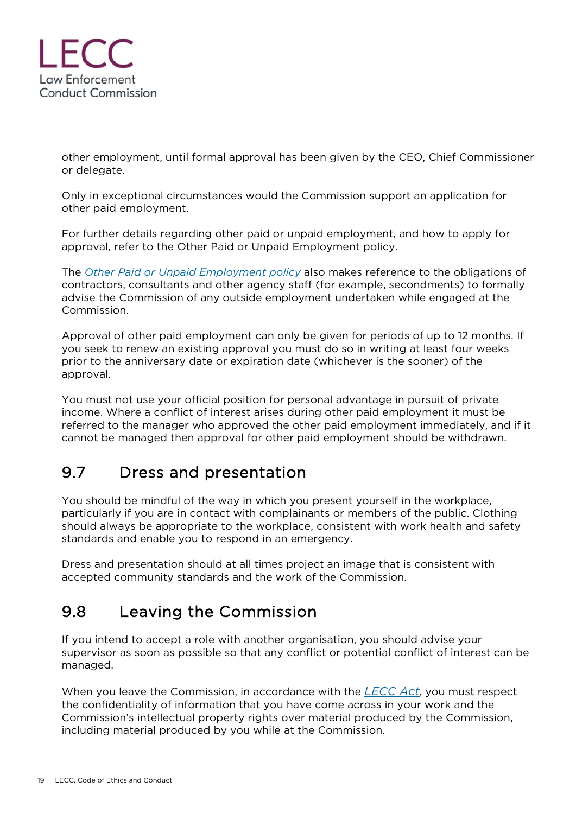

other employment, until formal approval has been given by the CEO, Chief Commissioner or delegate.

Only in exceptional circumstances would the Commission support an application for other paid employment.

For further details regarding other paid or unpaid employment, and how to apply for approval, refer to the Other Paid or Unpaid Employment policy.

The *Other Paid or Unpaid Employment policy* also makes reference to the obligations of contractors, consultants and other agency staff (for example, secondments) to formally advise the Commission of any outside employment undertaken while engaged at the Commission.

Approval of other paid employment can only be given for periods of up to 12 months. If you seek to renew an existing approval you must do so in writing at least four weeks prior to the anniversary date or expiration date (whichever is the sooner) of the approval.

You must not use your official position for personal advantage in pursuit of private income. Where a conflict of interest arises during other paid employment it must be referred to the manager who approved the other paid employment immediately, and if it cannot be managed then approval for other paid employment should be withdrawn.

# 9.7 Dress and presentation

You should be mindful of the way in which you present yourself in the workplace, particularly if you are in contact with complainants or members of the public. Clothing should always be appropriate to the workplace, consistent with work health and safety standards and enable you to respond in an emergency.

Dress and presentation should at all times project an image that is consistent with accepted community standards and the work of the Commission.

# 9.8 Leaving the Commission

If you intend to accept a role with another organisation, you should advise your supervisor as soon as possible so that any conflict or potential conflict of interest can be managed.

When you leave the Commission, in accordance with the *LECC Act*, you must respect the confidentiality of information that you have come across in your work and the Commission's intellectual property rights over material produced by the Commission, including material produced by you while at the Commission.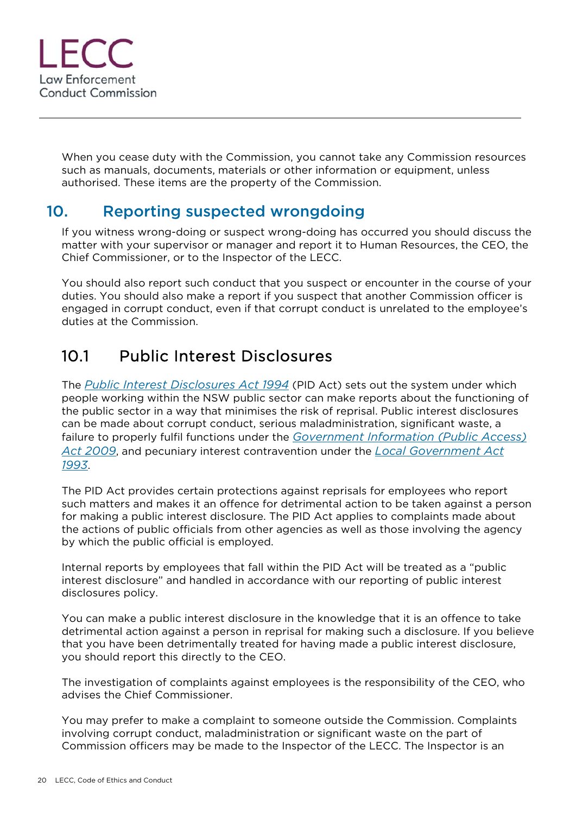

When you cease duty with the Commission, you cannot take any Commission resources such as manuals, documents, materials or other information or equipment, unless authorised. These items are the property of the Commission.

#### 10. Reporting suspected wrongdoing

If you witness wrong-doing or suspect wrong-doing has occurred you should discuss the matter with your supervisor or manager and report it to Human Resources, the CEO, the Chief Commissioner, or to the Inspector of the LECC.

You should also report such conduct that you suspect or encounter in the course of your duties. You should also make a report if you suspect that another Commission officer is engaged in corrupt conduct, even if that corrupt conduct is unrelated to the employee's duties at the Commission.

# 10.1 Public Interest Disclosures

The *Public Interest Disclosures Act 1994* (PID Act) sets out the system under which people working within the NSW public sector can make reports about the functioning of the public sector in a way that minimises the risk of reprisal. Public interest disclosures can be made about corrupt conduct, serious maladministration, significant waste, a failure to properly fulfil functions under the *Government Information (Public Access) Act 2009*, and pecuniary interest contravention under the *Local Government Act 1993*.

The PID Act provides certain protections against reprisals for employees who report such matters and makes it an offence for detrimental action to be taken against a person for making a public interest disclosure. The PID Act applies to complaints made about the actions of public officials from other agencies as well as those involving the agency by which the public official is employed.

Internal reports by employees that fall within the PID Act will be treated as a "public interest disclosure" and handled in accordance with our reporting of public interest disclosures policy.

You can make a public interest disclosure in the knowledge that it is an offence to take detrimental action against a person in reprisal for making such a disclosure. If you believe that you have been detrimentally treated for having made a public interest disclosure, you should report this directly to the CEO.

The investigation of complaints against employees is the responsibility of the CEO, who advises the Chief Commissioner.

You may prefer to make a complaint to someone outside the Commission. Complaints involving corrupt conduct, maladministration or significant waste on the part of Commission officers may be made to the Inspector of the LECC. The Inspector is an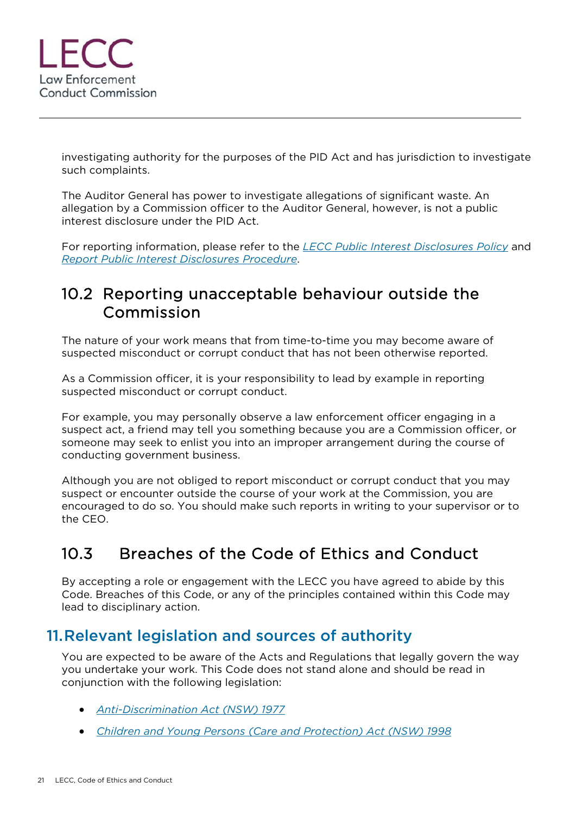

investigating authority for the purposes of the PID Act and has jurisdiction to investigate such complaints.

The Auditor General has power to investigate allegations of significant waste. An allegation by a Commission officer to the Auditor General, however, is not a public interest disclosure under the PID Act.

For reporting information, please refer to the *LECC Public Interest Disclosures Policy* and *Report Public Interest Disclosures Procedure*.

#### 10.2 Reporting unacceptable behaviour outside the Commission

The nature of your work means that from time-to-time you may become aware of suspected misconduct or corrupt conduct that has not been otherwise reported.

As a Commission officer, it is your responsibility to lead by example in reporting suspected misconduct or corrupt conduct.

For example, you may personally observe a law enforcement officer engaging in a suspect act, a friend may tell you something because you are a Commission officer, or someone may seek to enlist you into an improper arrangement during the course of conducting government business.

Although you are not obliged to report misconduct or corrupt conduct that you may suspect or encounter outside the course of your work at the Commission, you are encouraged to do so. You should make such reports in writing to your supervisor or to the CEO.

# 10.3 Breaches of the Code of Ethics and Conduct

By accepting a role or engagement with the LECC you have agreed to abide by this Code. Breaches of this Code, or any of the principles contained within this Code may lead to disciplinary action.

#### 11.Relevant legislation and sources of authority

You are expected to be aware of the Acts and Regulations that legally govern the way you undertake your work. This Code does not stand alone and should be read in conjunction with the following legislation:

- *Anti-Discrimination Act (NSW) 1977*
- *Children and Young Persons (Care and Protection) Act (NSW) 1998*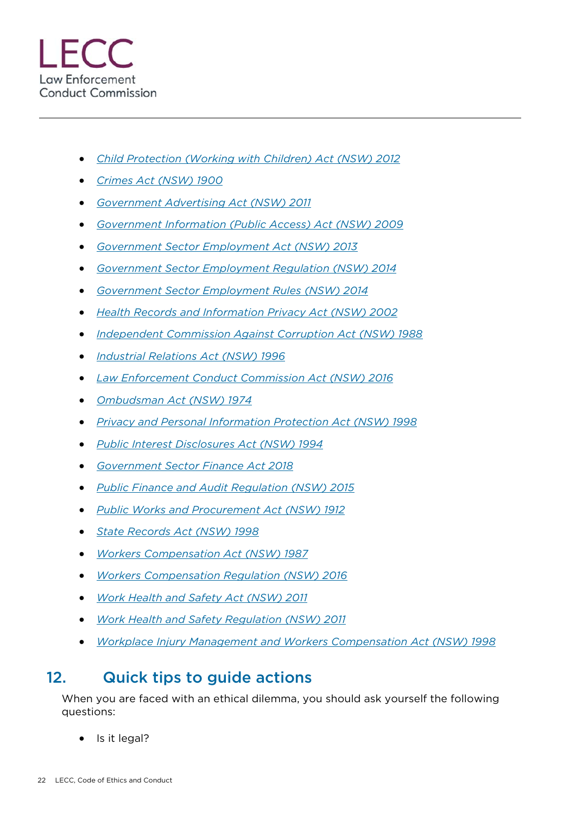- *Child Protection (Working with Children) Act (NSW) 2012*
- *Crimes Act (NSW) 1900*
- *Government Advertising Act (NSW) 2011*
- *Government Information (Public Access) Act (NSW) 2009*
- *Government Sector Employment Act (NSW) 2013*
- *Government Sector Employment Regulation (NSW) 2014*
- *Government Sector Employment Rules (NSW) 2014*
- *Health Records and Information Privacy Act (NSW) 2002*
- *Independent Commission Against Corruption Act (NSW) 1988*
- *Industrial Relations Act (NSW) 1996*
- *Law Enforcement Conduct Commission Act (NSW) 2016*
- *Ombudsman Act (NSW) 1974*
- *Privacy and Personal Information Protection Act (NSW) 1998*
- *Public Interest Disclosures Act (NSW) 1994*
- *Government Sector Finance Act 2018*
- *Public Finance and Audit Regulation (NSW) 2015*
- *Public Works and Procurement Act (NSW) 1912*
- *State Records Act (NSW) 1998*
- *Workers Compensation Act (NSW) 1987*
- *Workers Compensation Regulation (NSW) 2016*
- *Work Health and Safety Act (NSW) 2011*
- *Work Health and Safety Regulation (NSW) 2011*
- *Workplace Injury Management and Workers Compensation Act (NSW) 1998*

#### 12. Quick tips to guide actions

When you are faced with an ethical dilemma, you should ask yourself the following questions:

Is it legal?